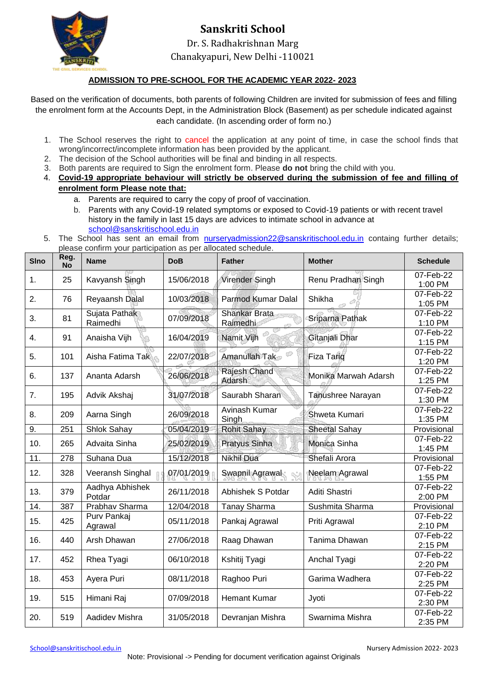

# **Sanskriti School** Dr. S. Radhakrishnan Marg

#### Chanakyapuri, New Delhi -110021

#### **ADMISSION TO PRE-SCHOOL FOR THE ACADEMIC YEAR 2022- 2023**

Based on the verification of documents, both parents of following Children are invited for submission of fees and filling the enrolment form at the Accounts Dept, in the Administration Block (Basement) as per schedule indicated against each candidate. (In ascending order of form no.)

- 1. The School reserves the right to cancel the application at any point of time, in case the school finds that wrong/incorrect/incomplete information has been provided by the applicant.
- 2. The decision of the School authorities will be final and binding in all respects.
- 3. Both parents are required to Sign the enrolment form. Please **do not** bring the child with you.
- 4. **Covid-19 appropriate behaviour will strictly be observed during the submission of fee and filling of enrolment form Please note that:**
	- a. Parents are required to carry the copy of proof of vaccination.
	- b. Parents with any Covid-19 related symptoms or exposed to Covid-19 patients or with recent travel history in the family in last 15 days are advices to intimate school in advance at [school@sanskritischool.edu.in](mailto:school@sanskritischool.edu.in)
- 5. The School has sent an email from [nurseryadmission22@sanskritischool.edu.in](mailto:nurseryadmission22@sanskritischool.edu.in) containg further details; please confirm your participation as per allocated schedule.

| <b>SIno</b> | Reg.<br><b>No</b> | <b>Name</b>               | <b>DoB</b> | <b>Father</b>             | <b>Mother</b>        | <b>Schedule</b>                    |
|-------------|-------------------|---------------------------|------------|---------------------------|----------------------|------------------------------------|
| 1.          | 25                | Kavyansh Singh            | 15/06/2018 | Virender Singh            | Renu Pradhan Singh   | 07-Feb-22<br>1:00 PM               |
| 2.          | 76                | Reyaansh Dalal            | 10/03/2018 | Parmod Kumar Dalal        | Shikha               | 07-Feb-22<br>1:05 PM               |
| 3.          | 81                | Sujata Pathak<br>Raimedhi | 07/09/2018 | Shankar Brata<br>Raimedhi | Sriparna Pathak      | 07-Feb-22<br>1:10 PM               |
| 4.          | 91                | Anaisha Vijh              | 16/04/2019 | Namit Vijh                | Gitanjali Dhar       | 07-Feb-22<br>1:15 PM               |
| 5.          | 101               | Aisha Fatima Tak          | 22/07/2018 | Amanullah Tak             | <b>Fiza Tariq</b>    | 07-Feb-22<br>1:20 PM               |
| 6.          | 137               | Ananta Adarsh             | 26/06/2018 | Rajesh Chand<br>Adarsh    | Monika Marwah Adarsh | 07-Feb-22<br>1:25 PM               |
| 7.          | 195               | Advik Akshaj              | 31/07/2018 | Saurabh Sharan            | Tanushree Narayan    | 07-Feb-22<br>1:30 PM               |
| 8.          | 209               | Aarna Singh               | 26/09/2018 | Avinash Kumar<br>Singh    | Shweta Kumari        | 07-Feb-22<br>1:35 PM               |
| 9.          | 251               | Shlok Sahay               | 05/04/2019 | <b>Rohit Sahay</b>        | <b>Sheetal Sahay</b> | Provisional                        |
| 10.         | 265               | Advaita Sinha             | 25/02/2019 | Pratyus Sinha             | Monica Sinha         | $\overline{0}$ 7-Feb-22<br>1:45 PM |
| 11.         | $\overline{278}$  | Suhana Dua                | 15/12/2018 | <b>Nikhil Dua</b>         | Shefali Arora        | Provisional                        |
| 12.         | 328               | Veeransh Singhal          | 07/01/2019 | Swapnil Agrawal           | Neelam Agrawal       | 07-Feb-22<br>1:55 PM               |
| 13.         | 379               | Aadhya Abhishek<br>Potdar | 26/11/2018 | Abhishek S Potdar         | Aditi Shastri        | 07-Feb-22<br>2:00 PM               |
| 14.         | 387               | Prabhav Sharma            | 12/04/2018 | <b>Tanay Sharma</b>       | Sushmita Sharma      | Provisional                        |
| 15.         | 425               | Purv Pankaj<br>Agrawal    | 05/11/2018 | Pankaj Agrawal            | Priti Agrawal        | 07-Feb-22<br>2:10 PM               |
| 16.         | 440               | Arsh Dhawan               | 27/06/2018 | Raag Dhawan               | Tanima Dhawan        | 07-Feb-22<br>2:15 PM               |
| 17.         | 452               | Rhea Tyagi                | 06/10/2018 | Kshitij Tyagi             | Anchal Tyagi         | 07-Feb-22<br>2:20 PM               |
| 18.         | 453               | Ayera Puri                | 08/11/2018 | Raghoo Puri               | Garima Wadhera       | 07-Feb-22<br>2:25 PM               |
| 19.         | 515               | Himani Raj                | 07/09/2018 | <b>Hemant Kumar</b>       | Jyoti                | 07-Feb-22<br>2:30 PM               |
| 20.         | 519               | Aadidev Mishra            | 31/05/2018 | Devranjan Mishra          | Swarnima Mishra      | 07-Feb-22<br>2:35 PM               |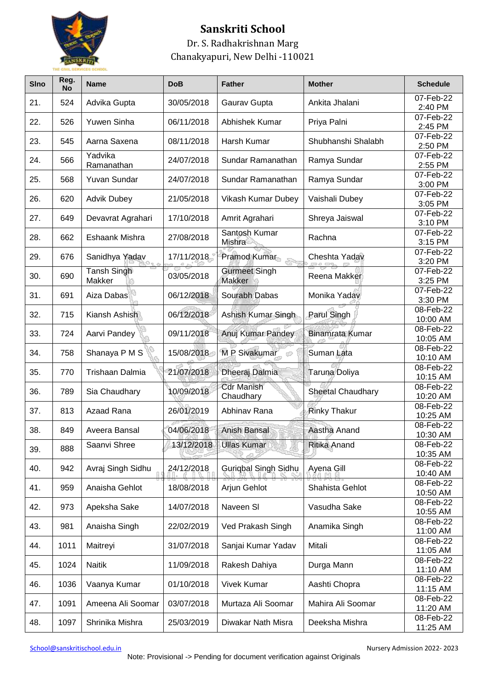

## **Sanskriti School**

### Dr. S. Radhakrishnan Marg Chanakyapuri, New Delhi -110021

| <b>SIno</b> | Reg.<br><b>No</b> | <b>Name</b>           | <b>DoB</b> | <b>Father</b>                  | <b>Mother</b>       | <b>Schedule</b>            |
|-------------|-------------------|-----------------------|------------|--------------------------------|---------------------|----------------------------|
| 21.         | 524               | Advika Gupta          | 30/05/2018 | Gaurav Gupta                   | Ankita Jhalani      | 07-Feb-22<br>2:40 PM       |
| 22.         | 526               | Yuwen Sinha           | 06/11/2018 | Abhishek Kumar                 | Priya Palni         | 07-Feb-22<br>2:45 PM       |
| 23.         | 545               | Aarna Saxena          | 08/11/2018 | Harsh Kumar                    | Shubhanshi Shalabh  | 07-Feb-22<br>2:50 PM       |
| 24.         | 566               | Yadvika<br>Ramanathan | 24/07/2018 | Sundar Ramanathan              | Ramya Sundar        | 07-Feb-22<br>2:55 PM       |
| 25.         | 568               | Yuvan Sundar          | 24/07/2018 | Sundar Ramanathan              | Ramya Sundar        | 07-Feb-22<br>3:00 PM       |
| 26.         | 620               | <b>Advik Dubey</b>    | 21/05/2018 | Vikash Kumar Dubey             | Vaishali Dubey      | 07-Feb-22<br>3:05 PM       |
| 27.         | 649               | Devavrat Agrahari     | 17/10/2018 | Amrit Agrahari                 | Shreya Jaiswal      | 07-Feb-22<br>3:10 PM       |
| 28.         | 662               | Eshaank Mishra        | 27/08/2018 | Santosh Kumar<br>Mishra        | Rachna              | $07 - Feb - 22$<br>3:15 PM |
| 29.         | 676               | Sanidhya Yadav        | 17/11/2018 | Pramod Kumar                   | Cheshta Yadav       | 07-Feb-22<br>3:20 PM       |
| 30.         | 690               | Tansh Singh<br>Makker | 03/05/2018 | <b>Gurmeet Singh</b><br>Makker | Reena Makker        | 07-Feb-22<br>3:25 PM       |
| 31.         | 691               | Aiza Dabas            | 06/12/2018 | Sourabh Dabas                  | Monika Yadav        | 07-Feb-22<br>3:30 PM       |
| 32.         | 715               | Kiansh Ashish         | 06/12/2018 | Ashish Kumar Singh             | Parul Singh         | 08-Feb-22<br>10:00 AM      |
| 33.         | 724               | Aarvi Pandey          | 09/11/2018 | Anuj Kumar Pandey              | Binamrata Kumar     | 08-Feb-22<br>10:05 AM      |
| 34.         | 758               | Shanaya P M S         | 15/08/2018 | M P Sivakumar                  | Suman Lata          | 08-Feb-22<br>10:10 AM      |
| 35.         | 770               | Trishaan Dalmia       | 21/07/2018 | Dheeraj Dalmia                 | Taruna Doliya       | 08-Feb-22<br>10:15 AM      |
| 36.         | 789               | Sia Chaudhary         | 10/09/2018 | <b>Cdr Manish</b><br>Chaudhary | Sheetal Chaudhary   | 08-Feb-22<br>10:20 AM      |
| 37.         | 813               | Azaad Rana            | 26/01/2019 | Abhinav Rana                   | <b>Rinky Thakur</b> | 08-Feb-22<br>10:25 AM      |
| 38.         | 849               | Aveera Bansal         | 04/06/2018 | Anish Bansal                   | Aastha Anand        | 08-Feb-22<br>10:30 AM      |
| 39.         | 888               | Saanvi Shree          | 13/12/2018 | Ullas Kumar                    | Ritika Anand        | 08-Feb-22<br>10:35 AM      |
| 40.         | 942               | Avraj Singh Sidhu     | 24/12/2018 | <b>Guriqbal Singh Sidhu</b>    | Ayena Gill          | 08-Feb-22<br>10:40 AM      |
| 41.         | 959               | Anaisha Gehlot        | 18/08/2018 | Arjun Gehlot                   | Shahista Gehlot     | 08-Feb-22<br>10:50 AM      |
| 42.         | 973               | Apeksha Sake          | 14/07/2018 | Naveen SI                      | Vasudha Sake        | 08-Feb-22<br>10:55 AM      |
| 43.         | 981               | Anaisha Singh         | 22/02/2019 | Ved Prakash Singh              | Anamika Singh       | 08-Feb-22<br>11:00 AM      |
| 44.         | 1011              | Maitreyi              | 31/07/2018 | Sanjai Kumar Yadav             | Mitali              | 08-Feb-22<br>11:05 AM      |
| 45.         | 1024              | <b>Naitik</b>         | 11/09/2018 | Rakesh Dahiya                  | Durga Mann          | 08-Feb-22<br>11:10 AM      |
| 46.         | 1036              | Vaanya Kumar          | 01/10/2018 | <b>Vivek Kumar</b>             | Aashti Chopra       | 08-Feb-22<br>11:15 AM      |
| 47.         | 1091              | Ameena Ali Soomar     | 03/07/2018 | Murtaza Ali Soomar             | Mahira Ali Soomar   | 08-Feb-22<br>11:20 AM      |
| 48.         | 1097              | Shrinika Mishra       | 25/03/2019 | Diwakar Nath Misra             | Deeksha Mishra      | 08-Feb-22<br>11:25 AM      |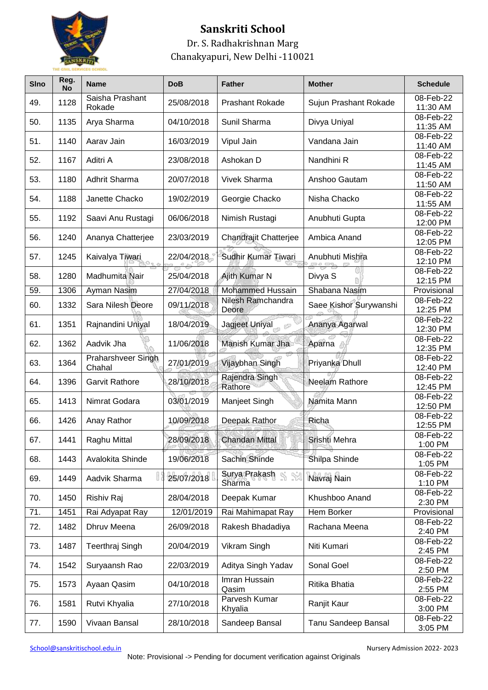

## **Sanskriti School**

Dr. S. Radhakrishnan Marg Chanakyapuri, New Delhi -110021

| <b>SIno</b> | Reg.<br><b>No</b> | <b>Name</b>                  | <b>DoB</b> | <b>Father</b>              | <b>Mother</b>          | <b>Schedule</b>         |
|-------------|-------------------|------------------------------|------------|----------------------------|------------------------|-------------------------|
| 49.         | 1128              | Saisha Prashant<br>Rokade    | 25/08/2018 | Prashant Rokade            | Sujun Prashant Rokade  | 08-Feb-22<br>11:30 AM   |
| 50.         | 1135              | Arya Sharma                  | 04/10/2018 | Sunil Sharma               | Divya Uniyal           | 08-Feb-22<br>11:35 AM   |
| 51.         | 1140              | Aarav Jain                   | 16/03/2019 | Vipul Jain                 | Vandana Jain           | 08-Feb-22<br>11:40 AM   |
| 52.         | 1167              | Aditri A                     | 23/08/2018 | Ashokan D                  | Nandhini R             | $08-Feb-22$<br>11:45 AM |
| 53.         | 1180              | Adhrit Sharma                | 20/07/2018 | <b>Vivek Sharma</b>        | Anshoo Gautam          | 08-Feb-22<br>11:50 AM   |
| 54.         | 1188              | Janette Chacko               | 19/02/2019 | Georgie Chacko             | Nisha Chacko           | 08-Feb-22<br>11:55 AM   |
| 55.         | 1192              | Saavi Anu Rustagi            | 06/06/2018 | Nimish Rustagi             | Anubhuti Gupta         | 08-Feb-22<br>12:00 PM   |
| 56.         | 1240              | Ananya Chatterjee            | 23/03/2019 | Chandrajit Chatterjee      | Ambica Anand           | 08-Feb-22<br>12:05 PM   |
| 57.         | 1245              | Kaivalya Tiwari              | 22/04/2018 | Sudhir Kumar Tiwari        | Anubhuti Mishra        | 08-Feb-22<br>12:10 PM   |
| 58.         | 1280              | Madhumita Nair               | 25/04/2018 | Ajith Kumar N              | Divya S                | 08-Feb-22<br>12:15 PM   |
| 59.         | 1306              | Ayman Nasim                  | 27/04/2018 | <b>Mohammed Hussain</b>    | Shabana Nasim          | Provisional             |
| 60.         | 1332              | Sara Nilesh Deore            | 09/11/2018 | Nilesh Ramchandra<br>Deore | Saee Kishor Surywanshi | 08-Feb-22<br>12:25 PM   |
| 61.         | 1351              | Rajnandini Uniyal            | 18/04/2019 | Jagjeet Uniyal<br>ì9       | Ananya Agarwal         | 08-Feb-22<br>12:30 PM   |
| 62.         | 1362              | Aadvik Jha                   | 11/06/2018 | Manish Kumar Jha           | Aparna                 | 08-Feb-22<br>12:35 PM   |
| 63.         | 1364              | Praharshveer Singh<br>Chahal | 27/01/2019 | Vijaybhan Singh            | Priyanka Dhull         | 08-Feb-22<br>12:40 PM   |
| 64.         | 1396              | <b>Garvit Rathore</b>        | 28/10/2018 | Rajendra Singh<br>Rathore  | Neelam Rathore         | 08-Feb-22<br>12:45 PM   |
| 65.         | 1413              | Nimrat Godara                | 03/01/2019 | Manjeet Singh              | Namita Mann            | 08-Feb-22<br>12:50 PM   |
| 66.         | 1426              | Anay Rathor                  | 10/09/2018 | Deepak Rathor              | Richa                  | 08-Feb-22<br>12:55 PM   |
| 67.         | 1441              | Raghu Mittal                 | 28/09/2018 | <b>Chandan Mittal</b>      | Srishti Mehra          | 08-Feb-22<br>1:00 PM    |
| 68.         | 1443              | Avalokita Shinde             | 19/06/2018 | Sachin Shinde              | Shilpa Shinde          | 08-Feb-22<br>1:05 PM    |
| 69.         | 1449              | Aadvik Sharma                | 25/07/2018 | Surya Prakash<br>Sharma    | Navraj Nain            | 08-Feb-22<br>1:10 PM    |
| 70.         | 1450              | Rishiv Raj                   | 28/04/2018 | Deepak Kumar               | Khushboo Anand         | 08-Feb-22<br>2:30 PM    |
| 71.         | 1451              | Rai Adyapat Ray              | 12/01/2019 | Rai Mahimapat Ray          | Hem Borker             | Provisional             |
| 72.         | 1482              | Dhruv Meena                  | 26/09/2018 | Rakesh Bhadadiya           | Rachana Meena          | 08-Feb-22<br>2:40 PM    |
| 73.         | 1487              | Teerthraj Singh              | 20/04/2019 | Vikram Singh               | Niti Kumari            | 08-Feb-22<br>2:45 PM    |
| 74.         | 1542              | Suryaansh Rao                | 22/03/2019 | Aditya Singh Yadav         | Sonal Goel             | 08-Feb-22<br>2:50 PM    |
| 75.         | 1573              | Ayaan Qasim                  | 04/10/2018 | Imran Hussain<br>Qasim     | Ritika Bhatia          | 08-Feb-22<br>2:55 PM    |
| 76.         | 1581              | Rutvi Khyalia                | 27/10/2018 | Parvesh Kumar<br>Khyalia   | Ranjit Kaur            | 08-Feb-22<br>3:00 PM    |
| 77.         | 1590              | Vivaan Bansal                | 28/10/2018 | Sandeep Bansal             | Tanu Sandeep Bansal    | 08-Feb-22<br>3:05 PM    |

[School@sanskritischool.edu.in](mailto:School@sanskritischool.edu.in) and School@sanskritischool.edu.in and School@sanskritischool.edu.in and School@sanskritischool.edu.in